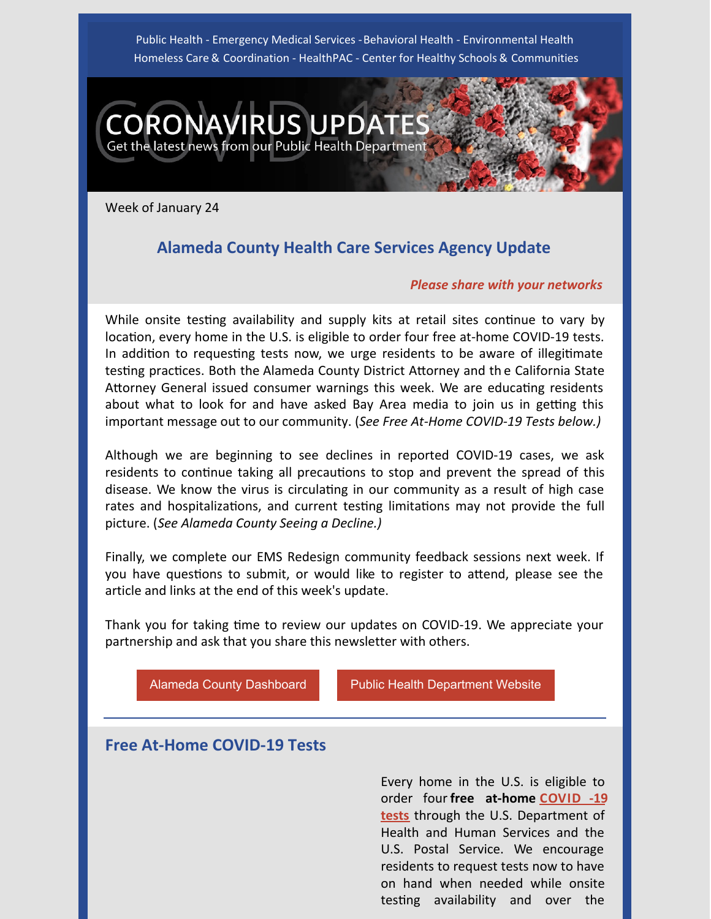Public Health - Emergency Medical Services - Behavioral Health - Environmental Health Homeless Care & Coordination - HealthPAC - Center for Healthy Schools & Communities



Week of January 24

# **Alameda County Health Care Services Agency Update**

#### *Please share with your networks*

While onsite testing availability and supply kits at retail sites continue to vary by location, every home in the U.S. is eligible to order four free at-home COVID-19 tests. In addition to requesting tests now, we urge residents to be aware of illegitimate testing practices. Both the Alameda County District Attorney and the California State Attorney General issued consumer warnings this week. We are educating residents about what to look for and have asked Bay Area media to join us in getting this important message out to our community. (*See Free At-Home COVID-19 Tests below.)*

Although we are beginning to see declines in reported COVID-19 cases, we ask residents to continue taking all precautions to stop and prevent the spread of this disease. We know the virus is circulating in our community as a result of high case rates and hospitalizations, and current testing limitations may not provide the full picture. (*See Alameda County Seeing a Decline.)*

Finally, we complete our EMS Redesign community feedback sessions next week. If you have questions to submit, or would like to register to attend, please see the article and links at the end of this week's update.

Thank you for taking time to review our updates on COVID-19. We appreciate your partnership and ask that you share this newsletter with others.

[Alameda County Dashboard](https://covid-19.acgov.org/data) **[Public Health Department Website](http://www.acphd.org/)** 

# **Free At-Home COVID-19 Tests**

Every home in the U.S. is eligible to order four **free at-home COVID -19 tests** [through the U.S. Department of](https://www.covidtests.gov) Health and Human Services and the U.S. Postal Service. We encourage residents to request tests now to have on hand when needed while onsite testing availability and over the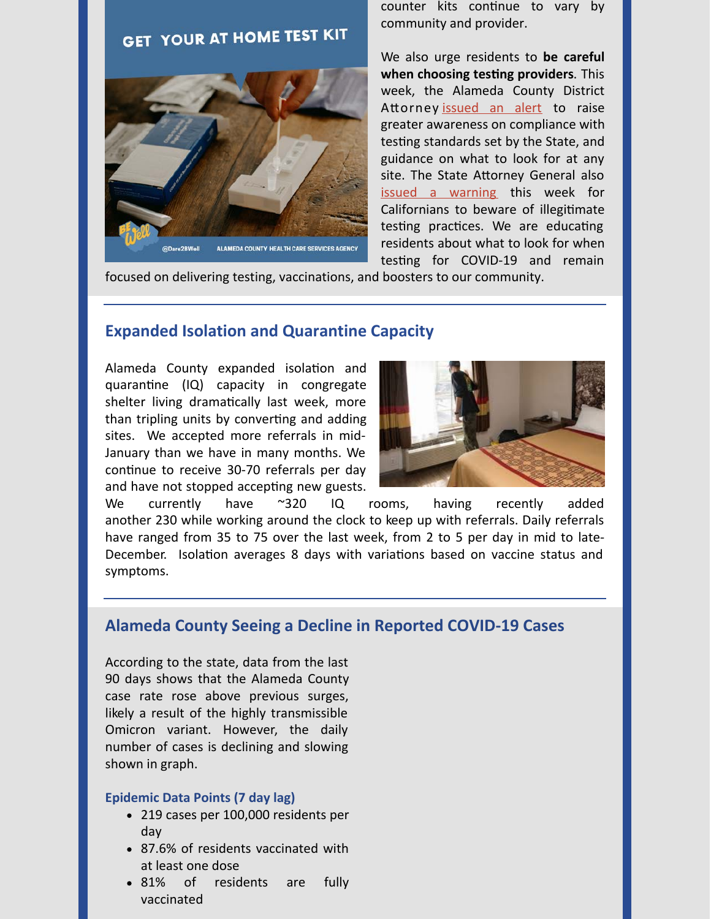# **GET YOUR AT HOME TEST KIT**



counter kits continue to vary by community and provider.

We also urge residents to **be careful when choosing testing providers.** This week, the Alameda County District Attorney [issued an alert](https://www.alcoda.org/newsroom/2022/jan/scam_alert_beware_of_unauthorized_covid_testing_si) to raise greater awareness on compliance with testing standards set by the State, and guidance on what to look for at any site. The State Attorney General also [issued a warning](https://oag.ca.gov/news/press-releases/attorney-general-bonta-warns-californians-beware-illegitimate-covid-19-testing) this week for Californians to beware of illegitimate testing practices. We are educating residents about what to look for when testing for COVID-19 and remain

focused on delivering testing, vaccinations, and boosters to our community.

### **Expanded Isolation and Quarantine Capacity**

Alameda County expanded isolation and quarantine (IQ) capacity in congregate shelter living dramatically last week, more than tripling units by converting and adding sites. We accepted more referrals in mid-January than we have in many months. We continue to receive 30-70 referrals per day and have not stopped accepting new guests.



We currently have ~320 IQ rooms, having recently added another 230 while working around the clock to keep up with referrals. Daily referrals have ranged from 35 to 75 over the last week, from 2 to 5 per day in mid to late-December. Isolation averages 8 days with variations based on vaccine status and symptoms.

### **Alameda County Seeing a Decline in Reported COVID-19 Cases**

According to the state, data from the last 90 days shows that the Alameda County case rate rose above previous surges, likely a result of the highly transmissible Omicron variant. However, the daily number of cases is declining and slowing shown in graph.

#### **Epidemic Data Points (7 day lag)**

- 219 cases per 100,000 residents per day
- 87.6% of residents vaccinated with at least one dose
- 81% of residents are fully vaccinated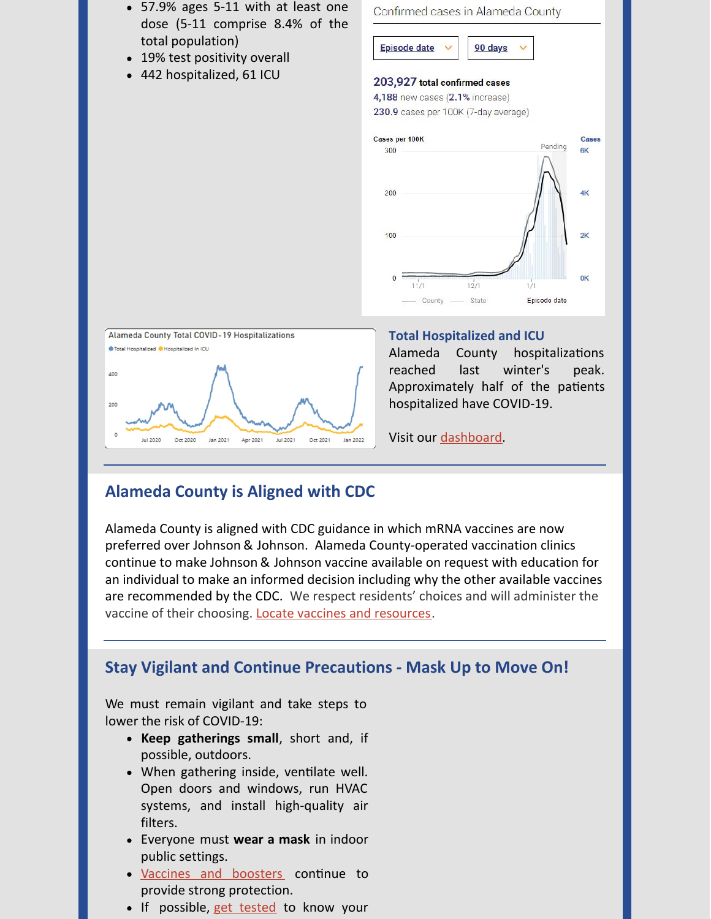

- 19% test positivity overall
- 442 hospitalized, 61 ICU





#### **Total Hospitalized and ICU**

Alameda County hospitalizations reached last winter's peak. Approximately half of the patients hospitalized have COVID-19.

Visit our [dashboard](https://covid-19.acgov.org/data).

# **Alameda County is Aligned with CDC**

Alameda County is aligned with CDC guidance in which mRNA vaccines are now preferred over Johnson & Johnson. Alameda County-operated vaccination clinics continue to make Johnson & Johnson vaccine available on request with education for an individual to make an informed decision including why the other available vaccines are recommended by the CDC. We respect residents' choices and will administer the vaccine of their choosing. [Locate vaccines and resources](https://covid-19.acgov.org/vaccines).

# **Stay Vigilant and Continue Precautions - Mask Up to Move On!**

We must remain vigilant and take steps to lower the risk of COVID-19:

- **Keep gatherings small**, short and, if possible, outdoors.
- When gathering inside, ventilate well. Open doors and windows, run HVAC systems, and install high-quality air filters.
- Everyone must **wear a mask** in indoor public settings.
- [Vaccines and boosters](https://covid-19.acgov.org/vaccines) continue to provide strong protection.
- If possible, [get tested](https://covid-19.acgov.org/testing) to know your